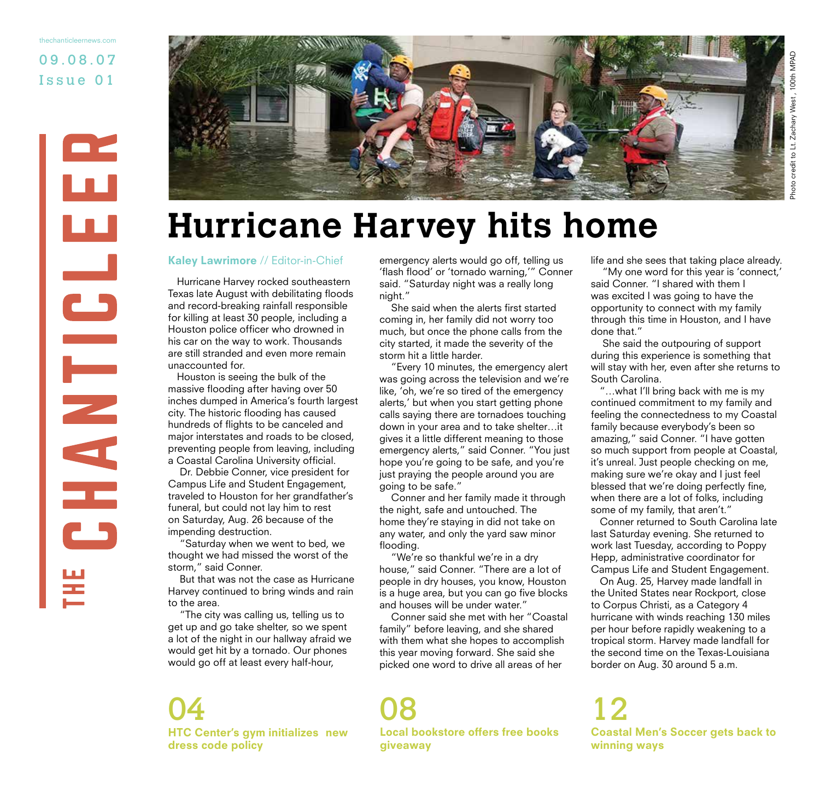09.08.07 Issue 01 thechanticleernews.com





## **Hurricane Harvey hits home**

### Kaley Lawrimore // Editor-in-Chief

Hurricane Harvey rocked southeastern Texas late August with debilitating floods and record-breaking rainfall responsible for killing at least 30 people, including a Houston police officer who drowned in his car on the way to work. Thousands are still stranded and even more remain unaccounted for.

Houston is seeing the bulk of the massive flooding after having over 50 inches dumped in America's fourth largest city. The historic flooding has caused hundreds of flights to be canceled and major interstates and roads to be closed, preventing people from leaving, including a Coastal Carolina University official.

 Dr. Debbie Conner, vice president for Campus Life and Student Engagement, traveled to Houston for her grandfather's funeral, but could not lay him to rest on Saturday, Aug. 26 because of the impending destruction.

 "Saturday when we went to bed, we thought we had missed the worst of the storm," said Conner.

 But that was not the case as Hurricane Harvey continued to bring winds and rain to the area.

 "The city was calling us, telling us to get up and go take shelter, so we spent a lot of the night in our hallway afraid we would get hit by a tornado. Our phones would go off at least every half-hour,

dress code policy

emergency alerts would go off, telling us 'flash flood' or 'tornado warning,'" Conner said. "Saturday night was a really long night."

 She said when the alerts first started coming in, her family did not worry too much, but once the phone calls from the city started, it made the severity of the storm hit a little harder.

 "Every 10 minutes, the emergency alert was going across the television and we're like, 'oh, we're so tired of the emergency alerts,' but when you start getting phone calls saying there are tornadoes touching down in your area and to take shelter…it gives it a little different meaning to those emergency alerts," said Conner. "You just hope you're going to be safe, and you're just praying the people around you are going to be safe."

 Conner and her family made it through the night, safe and untouched. The home they're staying in did not take on any water, and only the yard saw minor flooding.

 "We're so thankful we're in a dry house," said Conner. "There are a lot of people in dry houses, you know, Houston is a huge area, but you can go five blocks and houses will be under water."

 Conner said she met with her "Coastal family" before leaving, and she shared with them what she hopes to accomplish this year moving forward. She said she picked one word to drive all areas of her

HTC Center's gym initializes new Local bookstore offers free books giveaway 04 08 12

life and she sees that taking place already.

 "My one word for this year is 'connect,' said Conner. "I shared with them I was excited I was going to have the opportunity to connect with my family through this time in Houston, and I have done that."

 She said the outpouring of support during this experience is something that will stay with her, even after she returns to South Carolina.

"…what I'll bring back with me is my continued commitment to my family and feeling the connectedness to my Coastal family because everybody's been so amazing," said Conner. "I have gotten so much support from people at Coastal, it's unreal. Just people checking on me, making sure we're okay and I just feel blessed that we're doing perfectly fine, when there are a lot of folks, including some of my family, that aren't."

Conner returned to South Carolina late last Saturday evening. She returned to work last Tuesday, according to Poppy Hepp, administrative coordinator for Campus Life and Student Engagement.

On Aug. 25, Harvey made landfall in the United States near Rockport, close to Corpus Christi, as a Category 4 hurricane with winds reaching 130 miles per hour before rapidly weakening to a tropical storm. Harvey made landfall for the second time on the Texas-Louisiana border on Aug. 30 around 5 a.m.

Coastal Men's Soccer gets back to winning ways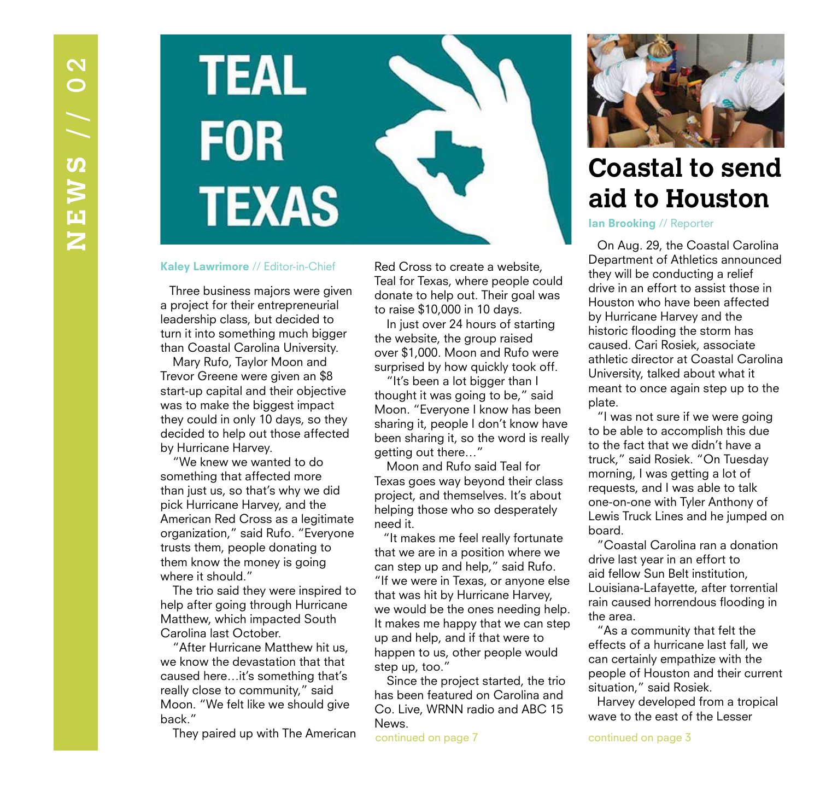

### Kaley Lawrimore // Editor-in-Chief

Three business majors were given a project for their entrepreneurial leadership class, but decided to turn it into something much bigger than Coastal Carolina University.

 Mary Rufo, Taylor Moon and Trevor Greene were given an \$8 start-up capital and their objective was to make the biggest impact they could in only 10 days, so they decided to help out those affected by Hurricane Harvey.

 "We knew we wanted to do something that affected more than just us, so that's why we did pick Hurricane Harvey, and the American Red Cross as a legitimate organization," said Rufo. "Everyone trusts them, people donating to them know the money is going where it should."

 The trio said they were inspired to help after going through Hurricane Matthew, which impacted South Carolina last October.

 "After Hurricane Matthew hit us, we know the devastation that that caused here…it's something that's really close to community," said Moon. "We felt like we should give back."

They paired up with The American

Red Cross to create a website, Teal for Texas, where people could donate to help out. Their goal was to raise \$10,000 in 10 days.

 In just over 24 hours of starting the website, the group raised over \$1,000. Moon and Rufo were surprised by how quickly took off.

 "It's been a lot bigger than I thought it was going to be," said Moon. "Everyone I know has been sharing it, people I don't know have been sharing it, so the word is really getting out there…"

 Moon and Rufo said Teal for Texas goes way beyond their class project, and themselves. It's about helping those who so desperately need it.

"It makes me feel really fortunate that we are in a position where we can step up and help," said Rufo. "If we were in Texas, or anyone else that was hit by Hurricane Harvey, we would be the ones needing help. It makes me happy that we can step up and help, and if that were to happen to us, other people would step up, too."

 Since the project started, the trio has been featured on Carolina and Co. Live, WRNN radio and ABC 15 News.

continued on page 7



## **Coastal to send aid to Houston**

Ian Brooking // Reporter

On Aug. 29, the Coastal Carolina Department of Athletics announced they will be conducting a relief drive in an effort to assist those in Houston who have been affected by Hurricane Harvey and the historic flooding the storm has caused. Cari Rosiek, associate athletic director at Coastal Carolina University, talked about what it meant to once again step up to the plate.

"I was not sure if we were going to be able to accomplish this due to the fact that we didn't have a truck," said Rosiek. "On Tuesday morning, I was getting a lot of requests, and I was able to talk one-on-one with Tyler Anthony of Lewis Truck Lines and he jumped on board.

"Coastal Carolina ran a donation drive last year in an effort to aid fellow Sun Belt institution, Louisiana-Lafayette, after torrential rain caused horrendous flooding in the area.

"As a community that felt the effects of a hurricane last fall, we can certainly empathize with the people of Houston and their current situation," said Rosiek.

Harvey developed from a tropical wave to the east of the Lesser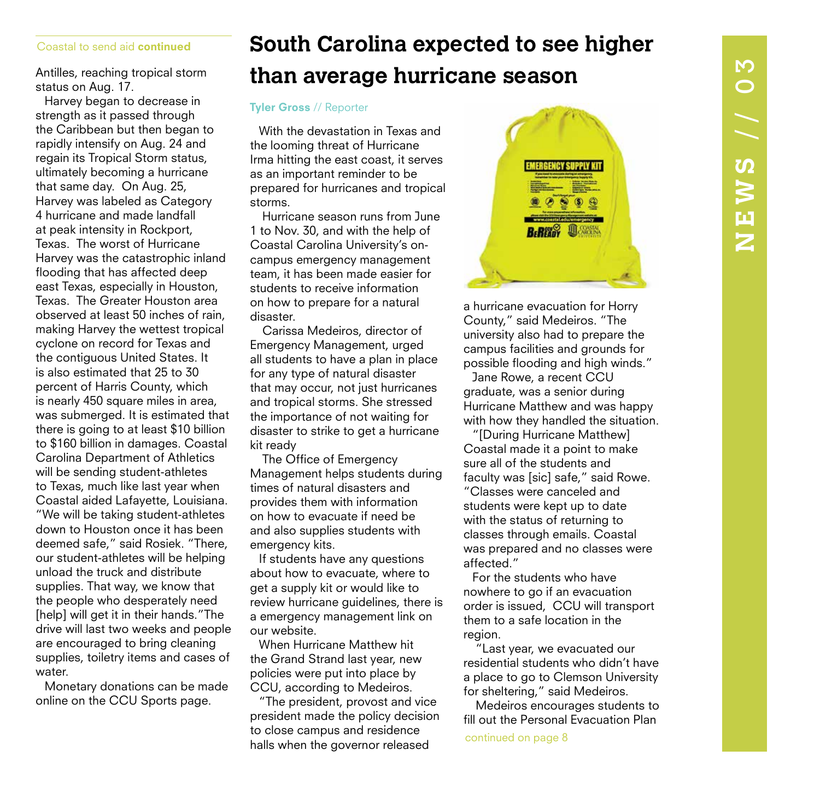### Coastal to send aid continued

Antilles, reaching tropical storm status on Aug. 17.

Harvey began to decrease in strength as it passed through the Caribbean but then began to rapidly intensify on Aug. 24 and regain its Tropical Storm status, ultimately becoming a hurricane that same day. On Aug. 25, Harvey was labeled as Category 4 hurricane and made landfall at peak intensity in Rockport, Texas. The worst of Hurricane Harvey was the catastrophic inland flooding that has affected deep east Texas, especially in Houston, Texas. The Greater Houston area observed at least 50 inches of rain, making Harvey the wettest tropical cyclone on record for Texas and the contiguous United States. It is also estimated that 25 to 30 percent of Harris County, which is nearly 450 square miles in area, was submerged. It is estimated that there is going to at least \$10 billion to \$160 billion in damages. Coastal Carolina Department of Athletics will be sending student-athletes to Texas, much like last year when Coastal aided Lafayette, Louisiana. "We will be taking student-athletes down to Houston once it has been deemed safe," said Rosiek. "There, our student-athletes will be helping unload the truck and distribute supplies. That way, we know that the people who desperately need [help] will get it in their hands."The drive will last two weeks and people are encouraged to bring cleaning supplies, toiletry items and cases of water.

Monetary donations can be made online on the CCU Sports page.

## **South Carolina expected to see higher than average hurricane season**

### Tyler Gross // Reporter

With the devastation in Texas and the looming threat of Hurricane Irma hitting the east coast, it serves as an important reminder to be prepared for hurricanes and tropical storms.

 Hurricane season runs from June 1 to Nov. 30, and with the help of Coastal Carolina University's oncampus emergency management team, it has been made easier for students to receive information on how to prepare for a natural disaster.

 Carissa Medeiros, director of Emergency Management, urged all students to have a plan in place for any type of natural disaster that may occur, not just hurricanes and tropical storms. She stressed the importance of not waiting for disaster to strike to get a hurricane kit ready

 The Office of Emergency Management helps students during times of natural disasters and provides them with information on how to evacuate if need be and also supplies students with emergency kits.

If students have any questions about how to evacuate, where to get a supply kit or would like to review hurricane guidelines, there is a emergency management link on our website.

When Hurricane Matthew hit the Grand Strand last year, new policies were put into place by CCU, according to Medeiros.

"The president, provost and vice president made the policy decision to close campus and residence halls when the governor released



a hurricane evacuation for Horry County," said Medeiros. "The university also had to prepare the campus facilities and grounds for possible flooding and high winds."

Jane Rowe, a recent CCU graduate, was a senior during Hurricane Matthew and was happy with how they handled the situation.

"[During Hurricane Matthew] Coastal made it a point to make sure all of the students and faculty was [sic] safe," said Rowe. "Classes were canceled and students were kept up to date with the status of returning to classes through emails. Coastal was prepared and no classes were affected."

For the students who have nowhere to go if an evacuation order is issued, CCU will transport them to a safe location in the region.

 "Last year, we evacuated our residential students who didn't have a place to go to Clemson University for sheltering," said Medeiros.

 Medeiros encourages students to fill out the Personal Evacuation Plan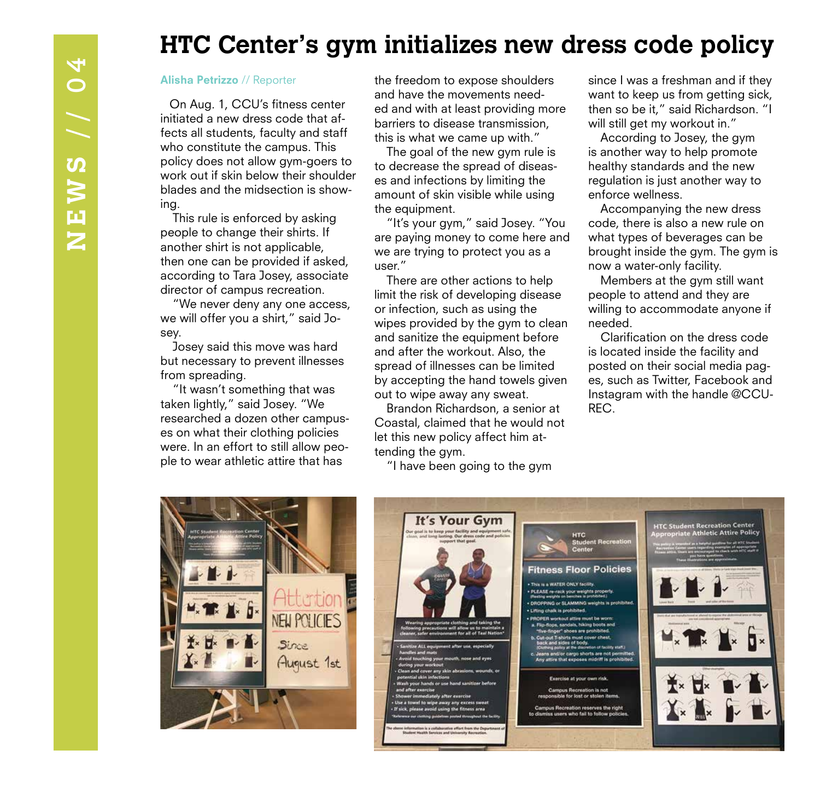## **HTC Center's gym initializes new dress code policy**

On Aug. 1, CCU's fitness center initiated a new dress code that affects all students, faculty and staff who constitute the campus. This policy does not allow gym-goers to work out if skin below their shoulder blades and the midsection is showing.

 This rule is enforced by asking people to change their shirts. If another shirt is not applicable, then one can be provided if asked, according to Tara Josey, associate director of campus recreation.

 "We never deny any one access, we will offer you a shirt," said Josey.

 Josey said this move was hard but necessary to prevent illnesses from spreading.

 "It wasn't something that was taken lightly," said Josey. "We researched a dozen other campuses on what their clothing policies were. In an effort to still allow people to wear athletic attire that has

the freedom to expose shoulders and have the movements needed and with at least providing more barriers to disease transmission, this is what we came up with."

 The goal of the new gym rule is to decrease the spread of diseases and infections by limiting the amount of skin visible while using the equipment.

 "It's your gym," said Josey. "You are paying money to come here and we are trying to protect you as a user."

 There are other actions to help limit the risk of developing disease or infection, such as using the wipes provided by the gym to clean and sanitize the equipment before and after the workout. Also, the spread of illnesses can be limited by accepting the hand towels given out to wipe away any sweat.

 Brandon Richardson, a senior at Coastal, claimed that he would not let this new policy affect him attending the gym.

"I have been going to the gym

Alisha Petrizzo // Reporter the freedom to expose shoulders since I was a freshman and if they want to keep us from getting sick, then so be it," said Richardson. "I will still get my workout in."

> According to Josey, the gym is another way to help promote healthy standards and the new regulation is just another way to enforce wellness.

 Accompanying the new dress code, there is also a new rule on what types of beverages can be brought inside the gym. The gym is now a water-only facility.

 Members at the gym still want people to attend and they are willing to accommodate anyone if needed.

 Clarification on the dress code is located inside the facility and posted on their social media pages, such as Twitter, Facebook and Instagram with the handle @CCU-REC.



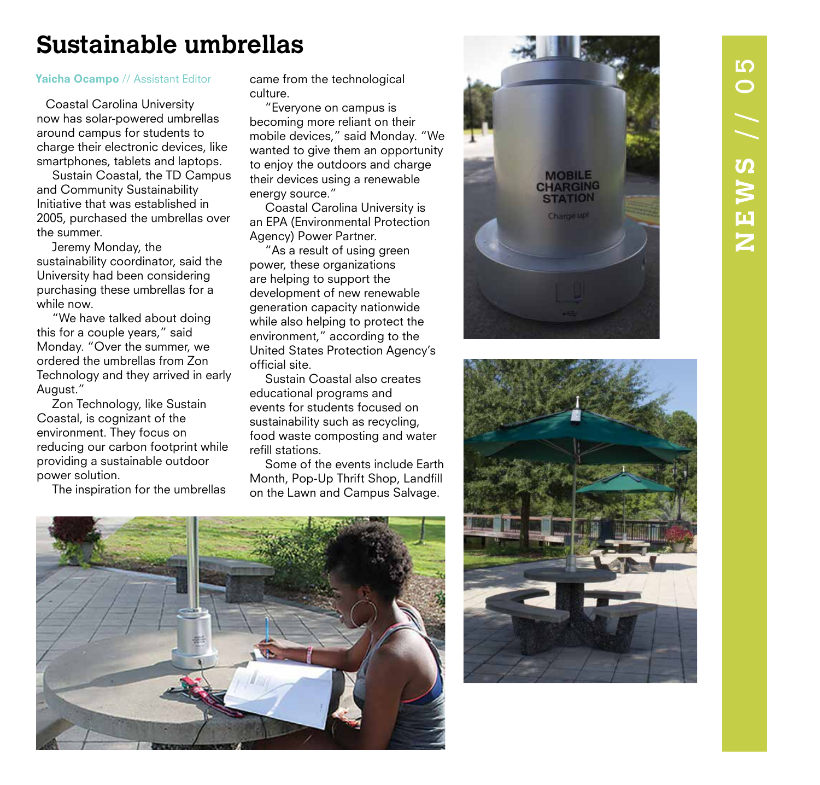## **Sustainable umbrellas**

### Yaicha Ocampo // Assistant Editor

Coastal Carolina University now has solar-powered umbrellas around campus for students to charge their electronic devices, like smartphones, tablets and laptops.

 Sustain Coastal, the TD Campus and Community Sustainability Initiative that was established in 2005, purchased the umbrellas over the summer.

 Jeremy Monday, the sustainability coordinator, said the University had been considering purchasing these umbrellas for a while now.

 "We have talked about doing this for a couple years," said Monday. "Over the summer, we ordered the umbrellas from Zon Technology and they arrived in early August."

 Zon Technology, like Sustain Coastal, is cognizant of the environment. They focus on reducing our carbon footprint while providing a sustainable outdoor power solution.

The inspiration for the umbrellas

came from the technological culture.

 "Everyone on campus is becoming more reliant on their mobile devices," said Monday. "We wanted to give them an opportunity to enjoy the outdoors and charge their devices using a renewable energy source."

 Coastal Carolina University is an EPA (Environmental Protection Agency) Power Partner.

 "As a result of using green power, these organizations are helping to support the development of new renewable generation capacity nationwide while also helping to protect the environment," according to the United States Protection Agency's official site.

 Sustain Coastal also creates educational programs and events for students focused on sustainability such as recycling, food waste composting and water refill stations.

 Some of the events include Earth Month, Pop-Up Thrift Shop, Landfill on the Lawn and Campus Salvage.





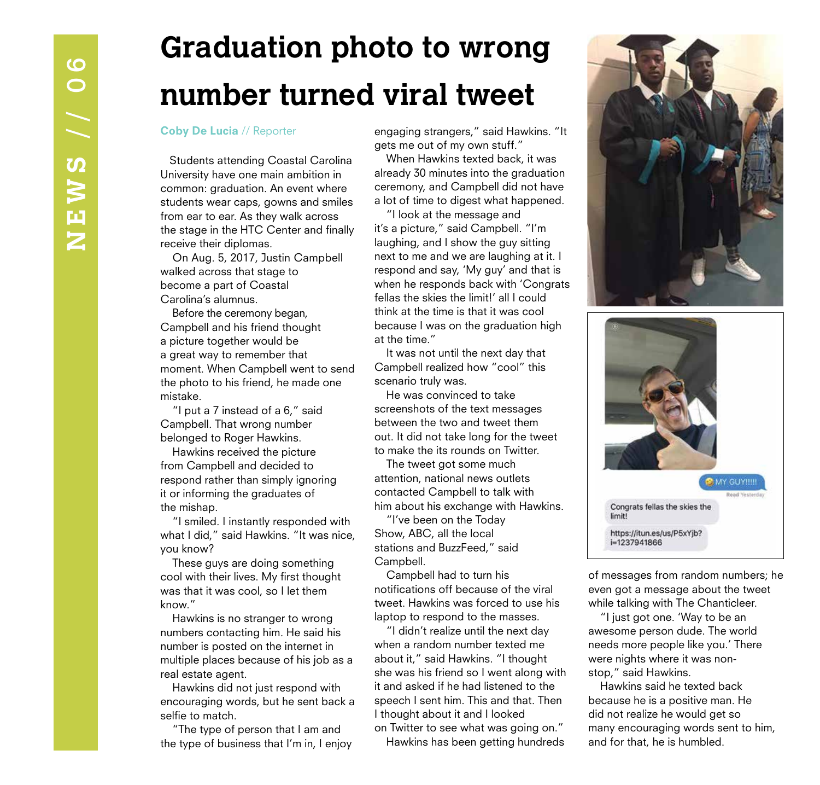## **Graduation photo to wrong number turned viral tweet**

### Coby De Lucia // Reporter

Students attending Coastal Carolina University have one main ambition in common: graduation. An event where students wear caps, gowns and smiles from ear to ear. As they walk across the stage in the HTC Center and finally receive their diplomas.

 On Aug. 5, 2017, Justin Campbell walked across that stage to become a part of Coastal Carolina's alumnus.

 Before the ceremony began, Campbell and his friend thought a picture together would be a great way to remember that moment. When Campbell went to send the photo to his friend, he made one mistake.

 "I put a 7 instead of a 6," said Campbell. That wrong number belonged to Roger Hawkins.

 Hawkins received the picture from Campbell and decided to respond rather than simply ignoring it or informing the graduates of the mishap.

 "I smiled. I instantly responded with what I did," said Hawkins. "It was nice, you know?

 These guys are doing something cool with their lives. My first thought was that it was cool, so I let them know."

 Hawkins is no stranger to wrong numbers contacting him. He said his number is posted on the internet in multiple places because of his job as a real estate agent.

 Hawkins did not just respond with encouraging words, but he sent back a selfie to match.

 "The type of person that I am and the type of business that I'm in, I enjoy

engaging strangers," said Hawkins. "It gets me out of my own stuff."

 When Hawkins texted back, it was already 30 minutes into the graduation ceremony, and Campbell did not have a lot of time to digest what happened.

 "I look at the message and it's a picture," said Campbell. "I'm laughing, and I show the guy sitting next to me and we are laughing at it. I respond and say, 'My guy' and that is when he responds back with 'Congrats fellas the skies the limit!' all I could think at the time is that it was cool because I was on the graduation high at the time."

 It was not until the next day that Campbell realized how "cool" this scenario truly was.

 He was convinced to take screenshots of the text messages between the two and tweet them out. It did not take long for the tweet to make the its rounds on Twitter.

 The tweet got some much attention, national news outlets contacted Campbell to talk with him about his exchange with Hawkins.

 "I've been on the Today Show, ABC, all the local stations and BuzzFeed," said Campbell.

 Campbell had to turn his notifications off because of the viral tweet. Hawkins was forced to use his laptop to respond to the masses.

 "I didn't realize until the next day when a random number texted me about it," said Hawkins. "I thought she was his friend so I went along with it and asked if he had listened to the speech I sent him. This and that. Then I thought about it and I looked on Twitter to see what was going on."

Hawkins has been getting hundreds





of messages from random numbers; he even got a message about the tweet while talking with The Chanticleer.

 "I just got one. 'Way to be an awesome person dude. The world needs more people like you.' There were nights where it was nonstop," said Hawkins.

 Hawkins said he texted back because he is a positive man. He did not realize he would get so many encouraging words sent to him, and for that, he is humbled.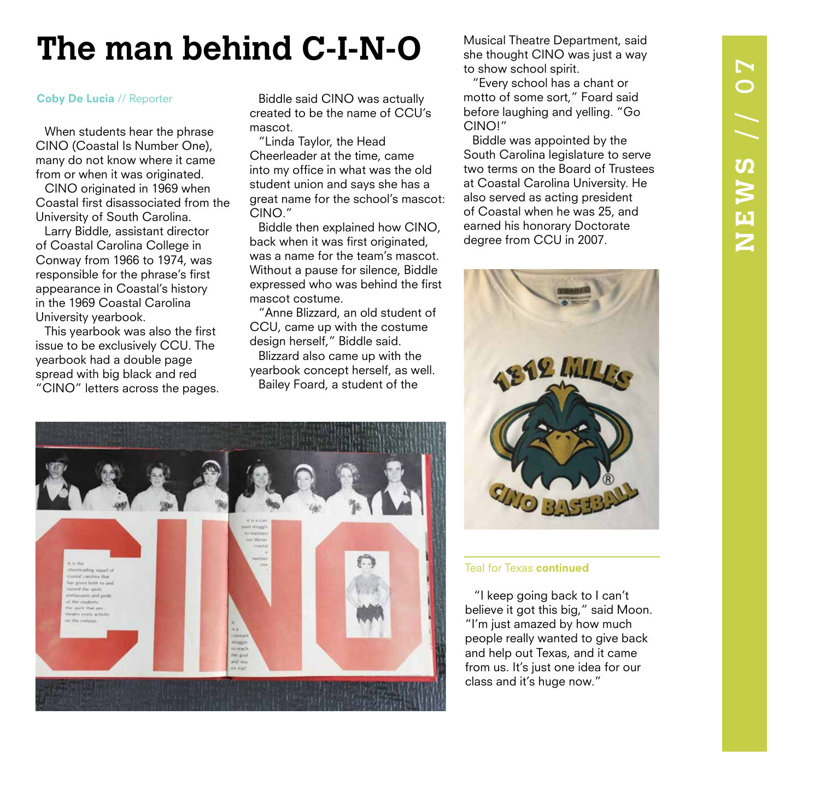## $\blacktriangleright$ **NEWS** // 07  $\overline{\mathbf{C}}$ NEWS //

## **The man behind C-I-N-O**

### Coby De Lucia // Reporter

When students hear the phrase CINO (Coastal Is Number One), many do not know where it came from or when it was originated.

CINO originated in 1969 when Coastal first disassociated from the University of South Carolina.

Larry Biddle, assistant director of Coastal Carolina College in Conway from 1966 to 1974, was responsible for the phrase's first appearance in Coastal's history in the 1969 Coastal Carolina University yearbook.

This yearbook was also the first issue to be exclusively CCU. The yearbook had a double page spread with big black and red "CINO" letters across the pages.

Biddle said CINO was actually created to be the name of CCU's mascot.

"Linda Taylor, the Head Cheerleader at the time, came into my office in what was the old student union and says she has a great name for the school's mascot: CINO."

Biddle then explained how CINO, back when it was first originated, was a name for the team's mascot. Without a pause for silence, Biddle expressed who was behind the first mascot costume.

"Anne Blizzard, an old student of CCU, came up with the costume design herself," Biddle said.

Blizzard also came up with the yearbook concept herself, as well. Bailey Foard, a student of the



"Every school has a chant or motto of some sort," Foard said before laughing and yelling. "Go CINO!"

Biddle was appointed by the South Carolina legislature to serve two terms on the Board of Trustees at Coastal Carolina University. He also served as acting president of Coastal when he was 25, and earned his honorary Doctorate degree from CCU in 2007.



### Teal for Texas continued

"I keep going back to I can't believe it got this big," said Moon. "I'm just amazed by how much people really wanted to give back and help out Texas, and it came from us. It's just one idea for our class and it's huge now."

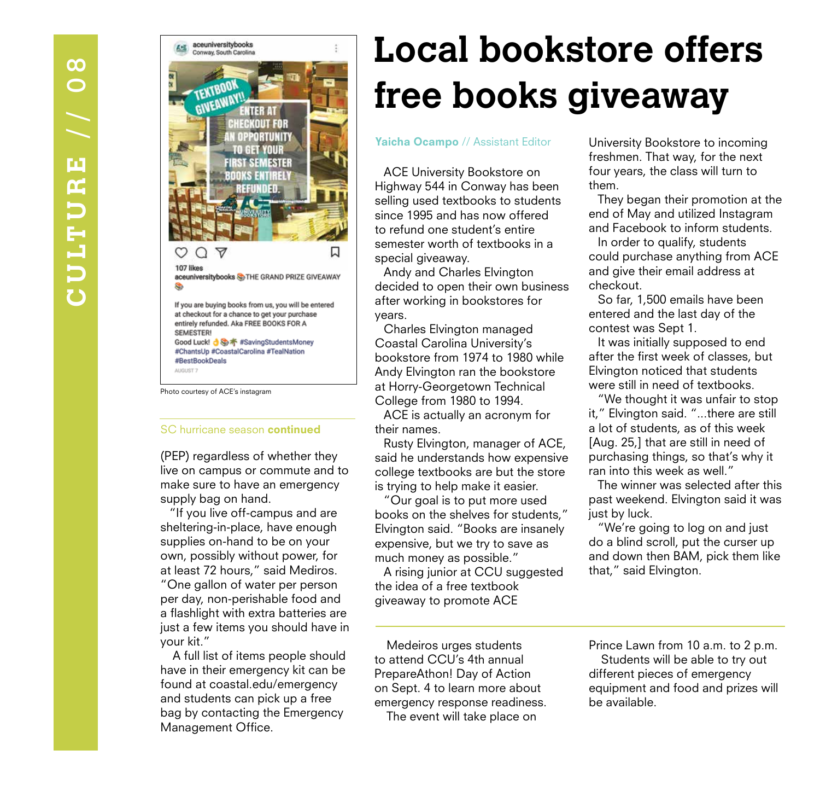

Photo courtesy of ACE's instagram

### SC hurricane season continued

(PEP) regardless of whether they live on campus or commute and to make sure to have an emergency supply bag on hand.

"If you live off-campus and are sheltering-in-place, have enough supplies on-hand to be on your own, possibly without power, for at least 72 hours," said Mediros. "One gallon of water per person per day, non-perishable food and a flashlight with extra batteries are just a few items you should have in your kit."

 A full list of items people should have in their emergency kit can be found at coastal.edu/emergency and students can pick up a free bag by contacting the Emergency Management Office.

## **Local bookstore offers free books giveaway**

### Yaicha Ocampo // Assistant Editor

ACE University Bookstore on Highway 544 in Conway has been selling used textbooks to students since 1995 and has now offered to refund one student's entire semester worth of textbooks in a special giveaway.

Andy and Charles Elvington decided to open their own business after working in bookstores for years.

Charles Elvington managed Coastal Carolina University's bookstore from 1974 to 1980 while Andy Elvington ran the bookstore at Horry-Georgetown Technical College from 1980 to 1994.

ACE is actually an acronym for their names.

Rusty Elvington, manager of ACE, said he understands how expensive college textbooks are but the store is trying to help make it easier.

"Our goal is to put more used books on the shelves for students," Elvington said. "Books are insanely expensive, but we try to save as much money as possible."

A rising junior at CCU suggested the idea of a free textbook giveaway to promote ACE

 Medeiros urges students to attend CCU's 4th annual PrepareAthon! Day of Action on Sept. 4 to learn more about emergency response readiness. The event will take place on

University Bookstore to incoming freshmen. That way, for the next four years, the class will turn to them.

They began their promotion at the end of May and utilized Instagram and Facebook to inform students.

In order to qualify, students could purchase anything from ACE and give their email address at checkout.

So far, 1,500 emails have been entered and the last day of the contest was Sept 1.

It was initially supposed to end after the first week of classes, but Elvington noticed that students were still in need of textbooks.

"We thought it was unfair to stop it," Elvington said. "...there are still a lot of students, as of this week [Aug. 25,] that are still in need of purchasing things, so that's why it ran into this week as well."

The winner was selected after this past weekend. Elvington said it was just by luck.

"We're going to log on and just do a blind scroll, put the curser up and down then BAM, pick them like that," said Elvington.

Prince Lawn from 10 a.m. to 2 p.m. Students will be able to try out different pieces of emergency equipment and food and prizes will be available.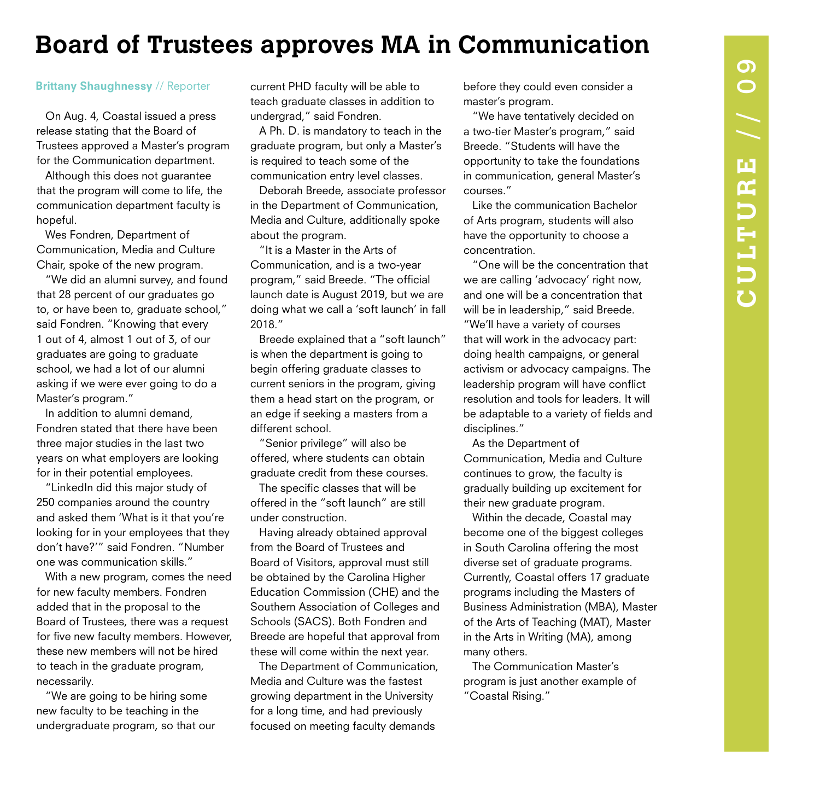## **Board of Trustees approves MA in Communication**

### Brittany Shaughnessy // Reporter

On Aug. 4, Coastal issued a press release stating that the Board of Trustees approved a Master's program for the Communication department.

Although this does not guarantee that the program will come to life, the communication department faculty is hopeful.

Wes Fondren, Department of Communication, Media and Culture Chair, spoke of the new program.

"We did an alumni survey, and found that 28 percent of our graduates go to, or have been to, graduate school," said Fondren. "Knowing that every 1 out of 4, almost 1 out of 3, of our graduates are going to graduate school, we had a lot of our alumni asking if we were ever going to do a Master's program."

In addition to alumni demand, Fondren stated that there have been three major studies in the last two years on what employers are looking for in their potential employees.

"LinkedIn did this major study of 250 companies around the country and asked them 'What is it that you're looking for in your employees that they don't have?'" said Fondren. "Number one was communication skills."

With a new program, comes the need for new faculty members. Fondren added that in the proposal to the Board of Trustees, there was a request for five new faculty members. However, these new members will not be hired to teach in the graduate program, necessarily.

"We are going to be hiring some new faculty to be teaching in the undergraduate program, so that our

current PHD faculty will be able to teach graduate classes in addition to undergrad," said Fondren.

A Ph. D. is mandatory to teach in the graduate program, but only a Master's is required to teach some of the communication entry level classes.

Deborah Breede, associate professor in the Department of Communication, Media and Culture, additionally spoke about the program.

"It is a Master in the Arts of Communication, and is a two-year program," said Breede. "The official launch date is August 2019, but we are doing what we call a 'soft launch' in fall 2018."

Breede explained that a "soft launch" is when the department is going to begin offering graduate classes to current seniors in the program, giving them a head start on the program, or an edge if seeking a masters from a different school.

"Senior privilege" will also be offered, where students can obtain graduate credit from these courses.

The specific classes that will be offered in the "soft launch" are still under construction.

Having already obtained approval from the Board of Trustees and Board of Visitors, approval must still be obtained by the Carolina Higher Education Commission (CHE) and the Southern Association of Colleges and Schools (SACS). Both Fondren and Breede are hopeful that approval from these will come within the next year.

The Department of Communication, Media and Culture was the fastest growing department in the University for a long time, and had previously focused on meeting faculty demands

before they could even consider a master's program.

"We have tentatively decided on a two-tier Master's program," said Breede. "Students will have the opportunity to take the foundations in communication, general Master's courses."

Like the communication Bachelor of Arts program, students will also have the opportunity to choose a concentration.

"One will be the concentration that we are calling 'advocacy' right now, and one will be a concentration that will be in leadership," said Breede. "We'll have a variety of courses that will work in the advocacy part: doing health campaigns, or general activism or advocacy campaigns. The leadership program will have conflict resolution and tools for leaders. It will be adaptable to a variety of fields and disciplines."

As the Department of Communication, Media and Culture continues to grow, the faculty is gradually building up excitement for their new graduate program.

Within the decade, Coastal may become one of the biggest colleges in South Carolina offering the most diverse set of graduate programs. Currently, Coastal offers 17 graduate programs including the Masters of Business Administration (MBA), Master of the Arts of Teaching (MAT), Master in the Arts in Writing (MA), among many others.

The Communication Master's program is just another example of "Coastal Rising."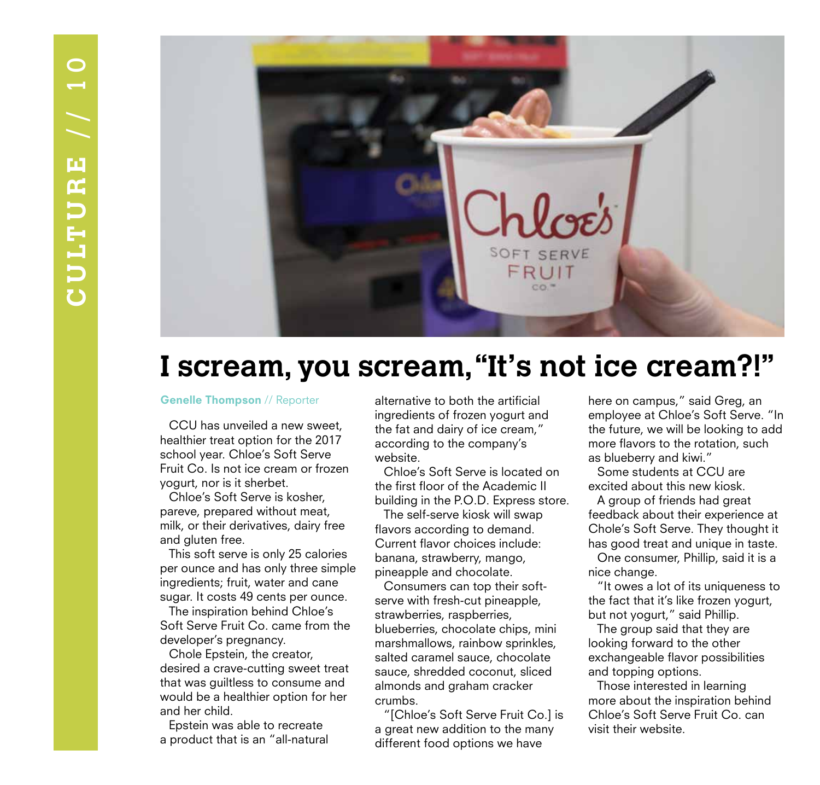

## **I scream, you scream, "It's not ice cream?!"**

### Genelle Thompson // Reporter

CCU has unveiled a new sweet, healthier treat option for the 2017 school year. Chloe's Soft Serve Fruit Co. Is not ice cream or frozen yogurt, nor is it sherbet.

Chloe's Soft Serve is kosher, pareve, prepared without meat, milk, or their derivatives, dairy free and gluten free.

This soft serve is only 25 calories per ounce and has only three simple ingredients; fruit, water and cane sugar. It costs 49 cents per ounce.

The inspiration behind Chloe's Soft Serve Fruit Co. came from the developer's pregnancy.

Chole Epstein, the creator, desired a crave-cutting sweet treat that was guiltless to consume and would be a healthier option for her and her child.

Epstein was able to recreate a product that is an "all-natural alternative to both the artificial ingredients of frozen yogurt and the fat and dairy of ice cream," according to the company's website.

Chloe's Soft Serve is located on the first floor of the Academic II building in the P.O.D. Express store.

The self-serve kiosk will swap flavors according to demand. Current flavor choices include: banana, strawberry, mango, pineapple and chocolate.

Consumers can top their softserve with fresh-cut pineapple, strawberries, raspberries, blueberries, chocolate chips, mini marshmallows, rainbow sprinkles, salted caramel sauce, chocolate sauce, shredded coconut, sliced almonds and graham cracker crumbs.

"[Chloe's Soft Serve Fruit Co.] is a great new addition to the many different food options we have

here on campus," said Greg, an employee at Chloe's Soft Serve. "In the future, we will be looking to add more flavors to the rotation, such as blueberry and kiwi."

Some students at CCU are excited about this new kiosk.

A group of friends had great feedback about their experience at Chole's Soft Serve. They thought it has good treat and unique in taste.

One consumer, Phillip, said it is a nice change.

"It owes a lot of its uniqueness to the fact that it's like frozen yogurt, but not yogurt," said Phillip.

The group said that they are looking forward to the other exchangeable flavor possibilities and topping options.

Those interested in learning more about the inspiration behind Chloe's Soft Serve Fruit Co. can visit their website.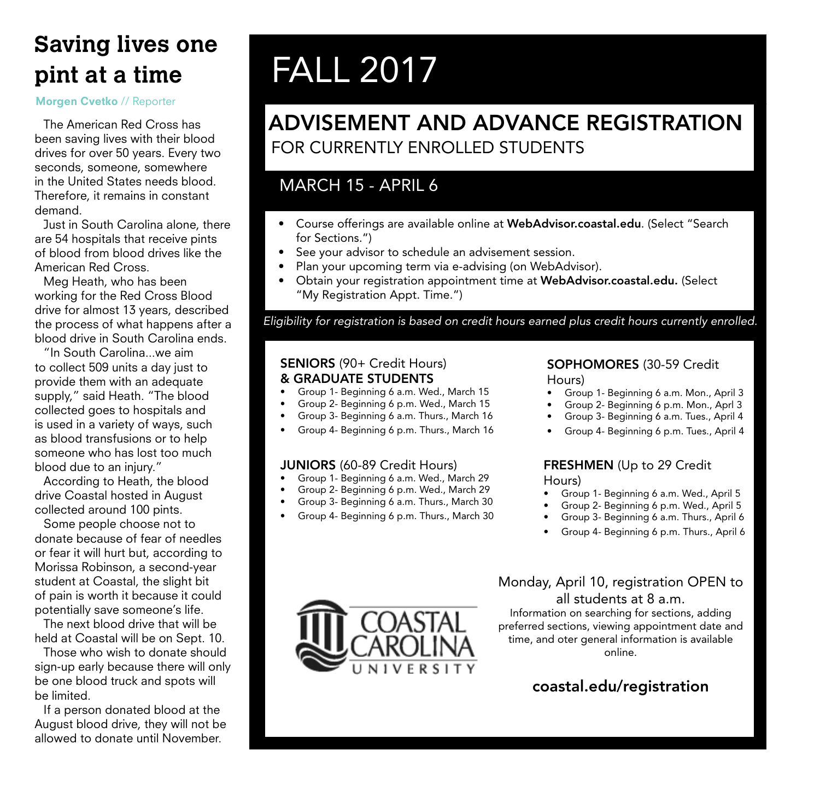## **Saving lives one pint at a time**

### Morgen Cvetko // Reporter

The American Red Cross has been saving lives with their blood drives for over 50 years. Every two seconds, someone, somewhere in the United States needs blood. Therefore, it remains in constant demand.

Just in South Carolina alone, there are 54 hospitals that receive pints of blood from blood drives like the American Red Cross.

Meg Heath, who has been working for the Red Cross Blood drive for almost 13 years, described the process of what happens after a blood drive in South Carolina ends.

"In South Carolina...we aim to collect 509 units a day just to provide them with an adequate supply," said Heath. "The blood collected goes to hospitals and is used in a variety of ways, such as blood transfusions or to help someone who has lost too much blood due to an injury."

According to Heath, the blood drive Coastal hosted in August collected around 100 pints.

Some people choose not to donate because of fear of needles or fear it will hurt but, according to Morissa Robinson, a second-year student at Coastal, the slight bit of pain is worth it because it could potentially save someone's life.

The next blood drive that will be held at Coastal will be on Sept. 10.

Those who wish to donate should sign-up early because there will only be one blood truck and spots will be limited.

If a person donated blood at the August blood drive, they will not be allowed to donate until November.

## FALL 2017

## ADVISEMENT AND ADVANCE REGISTRATION FOR CURRENTLY ENROLLED STUDENTS

## MARCH 15 - APRIL 6

- Course offerings are available online at WebAdvisor.coastal.edu. (Select "Search for Sections.")
- See your advisor to schedule an advisement session.
- Plan your upcoming term via e-advising (on WebAdvisor).
- Obtain your registration appointment time at WebAdvisor.coastal.edu. (Select "My Registration Appt. Time.")

*Eligibility for registration is based on credit hours earned plus credit hours currently enrolled.*

## SENIORS (90+ Credit Hours) & GRADUATE STUDENTS

- Group 1- Beginning 6 a.m. Wed., March 15
- Group 2- Beginning 6 p.m. Wed., March 15
- Group 3- Beginning 6 a.m. Thurs., March 16
- Group 4- Beginning 6 p.m. Thurs., March 16

## JUNIORS (60-89 Credit Hours)

- Group 1- Beginning 6 a.m. Wed., March 29
- Group 2- Beginning 6 p.m. Wed., March 29
- Group 3- Beginning 6 a.m. Thurs., March 30
- Group 4- Beginning 6 p.m. Thurs., March 30

### SOPHOMORES (30-59 Credit Hours)

- Group 1- Beginning 6 a.m. Mon., April 3
- Group 2- Beginning 6 p.m. Mon., Aprl 3
- Group 3- Beginning 6 a.m. Tues., April 4
- Group 4- Beginning 6 p.m. Tues., April 4

### FRESHMEN (Up to 29 Credit Hours)

- 
- Group 1- Beginning 6 a.m. Wed., April 5 • Group 2- Beginning 6 p.m. Wed., April 5
- 
- Group 3- Beginning 6 a.m. Thurs., April 6
- Group 4- Beginning 6 p.m. Thurs., April 6

## Monday, April 10, registration OPEN to all students at 8 a.m.

Information on searching for sections, adding preferred sections, viewing appointment date and time, and oter general information is available online.

## coastal.edu/registration

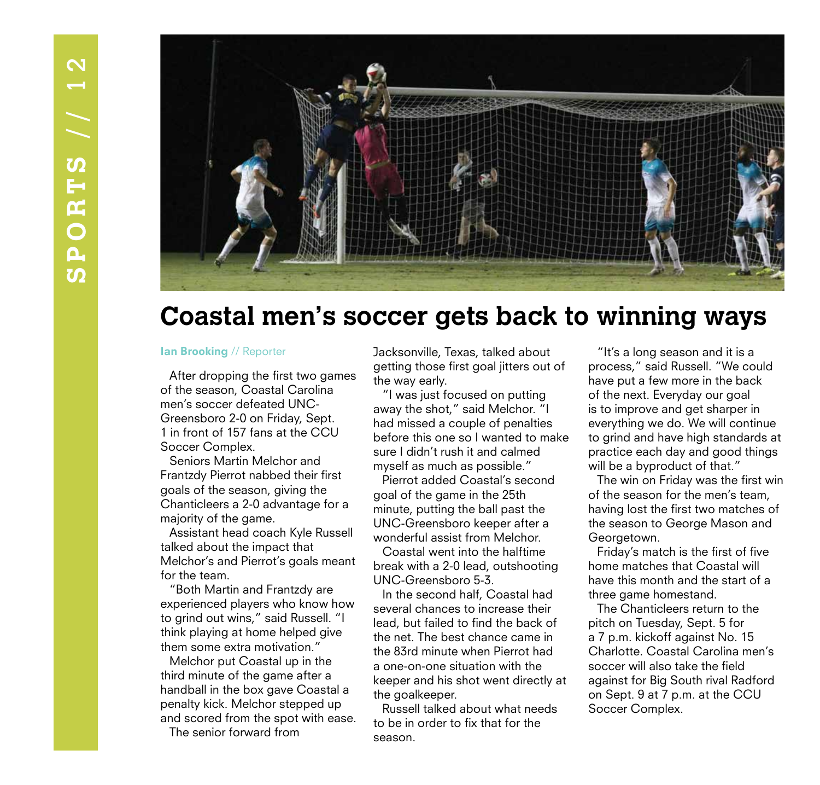

## **Coastal men's soccer gets back to winning ways**

After dropping the first two games of the season, Coastal Carolina men's soccer defeated UNC-Greensboro 2-0 on Friday, Sept. 1 in front of 157 fans at the CCU Soccer Complex.

Seniors Martin Melchor and Frantzdy Pierrot nabbed their first goals of the season, giving the Chanticleers a 2-0 advantage for a majority of the game.

Assistant head coach Kyle Russell talked about the impact that Melchor's and Pierrot's goals meant for the team.

"Both Martin and Frantzdy are experienced players who know how to grind out wins," said Russell. "I think playing at home helped give them some extra motivation."

Melchor put Coastal up in the third minute of the game after a handball in the box gave Coastal a penalty kick. Melchor stepped up and scored from the spot with ease. The senior forward from

Ian Brooking // Reporter **Jacksonville, Texas, talked about** getting those first goal jitters out of the way early.

> "I was just focused on putting away the shot," said Melchor. "I had missed a couple of penalties before this one so I wanted to make sure I didn't rush it and calmed myself as much as possible."

Pierrot added Coastal's second goal of the game in the 25th minute, putting the ball past the UNC-Greensboro keeper after a wonderful assist from Melchor.

Coastal went into the halftime break with a 2-0 lead, outshooting UNC-Greensboro 5-3.

In the second half, Coastal had several chances to increase their lead, but failed to find the back of the net. The best chance came in the 83rd minute when Pierrot had a one-on-one situation with the keeper and his shot went directly at the goalkeeper.

Russell talked about what needs to be in order to fix that for the season.

"It's a long season and it is a process," said Russell. "We could have put a few more in the back of the next. Everyday our goal is to improve and get sharper in everything we do. We will continue to grind and have high standards at practice each day and good things will be a byproduct of that."

The win on Friday was the first win of the season for the men's team, having lost the first two matches of the season to George Mason and Georgetown.

Friday's match is the first of five home matches that Coastal will have this month and the start of a three game homestand.

The Chanticleers return to the pitch on Tuesday, Sept. 5 for a 7 p.m. kickoff against No. 15 Charlotte. Coastal Carolina men's soccer will also take the field against for Big South rival Radford on Sept. 9 at 7 p.m. at the CCU Soccer Complex.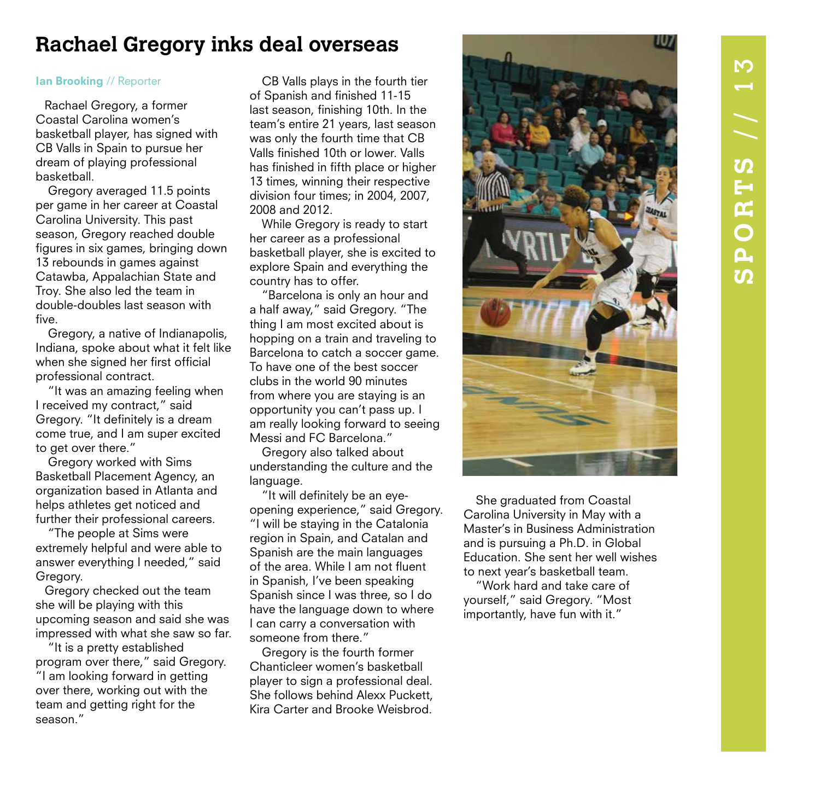## **Rachael Gregory inks deal overseas**

Rachael Gregory, a former Coastal Carolina women's basketball player, has signed with CB Valls in Spain to pursue her dream of playing professional basketball.

 Gregory averaged 11.5 points per game in her career at Coastal Carolina University. This past season, Gregory reached double figures in six games, bringing down 13 rebounds in games against Catawba, Appalachian State and Troy. She also led the team in double-doubles last season with five.

 Gregory, a native of Indianapolis, Indiana, spoke about what it felt like when she signed her first official professional contract.

 "It was an amazing feeling when I received my contract," said Gregory. "It definitely is a dream come true, and I am super excited to get over there."

 Gregory worked with Sims Basketball Placement Agency, an organization based in Atlanta and helps athletes get noticed and further their professional careers.

 "The people at Sims were extremely helpful and were able to answer everything I needed," said Gregory.

Gregory checked out the team she will be playing with this upcoming season and said she was impressed with what she saw so far.

 "It is a pretty established program over there," said Gregory. "I am looking forward in getting over there, working out with the team and getting right for the season."

Ian Brooking // Reporter CB Valls plays in the fourth tier of Spanish and finished 11-15 last season, finishing 10th. In the team's entire 21 years, last season was only the fourth time that CB Valls finished 10th or lower. Valls has finished in fifth place or higher 13 times, winning their respective division four times; in 2004, 2007, 2008 and 2012.

> While Gregory is ready to start her career as a professional basketball player, she is excited to explore Spain and everything the country has to offer.

 "Barcelona is only an hour and a half away," said Gregory. "The thing I am most excited about is hopping on a train and traveling to Barcelona to catch a soccer game. To have one of the best soccer clubs in the world 90 minutes from where you are staying is an opportunity you can't pass up. I am really looking forward to seeing Messi and FC Barcelona."

 Gregory also talked about understanding the culture and the language.

 "It will definitely be an eyeopening experience," said Gregory. "I will be staying in the Catalonia region in Spain, and Catalan and Spanish are the main languages of the area. While I am not fluent in Spanish, I've been speaking Spanish since I was three, so I do have the language down to where I can carry a conversation with someone from there."

 Gregory is the fourth former Chanticleer women's basketball player to sign a professional deal. She follows behind Alexx Puckett, Kira Carter and Brooke Weisbrod.



 She graduated from Coastal Carolina University in May with a Master's in Business Administration and is pursuing a Ph.D. in Global Education. She sent her well wishes to next year's basketball team.

 "Work hard and take care of yourself," said Gregory. "Most importantly, have fun with it."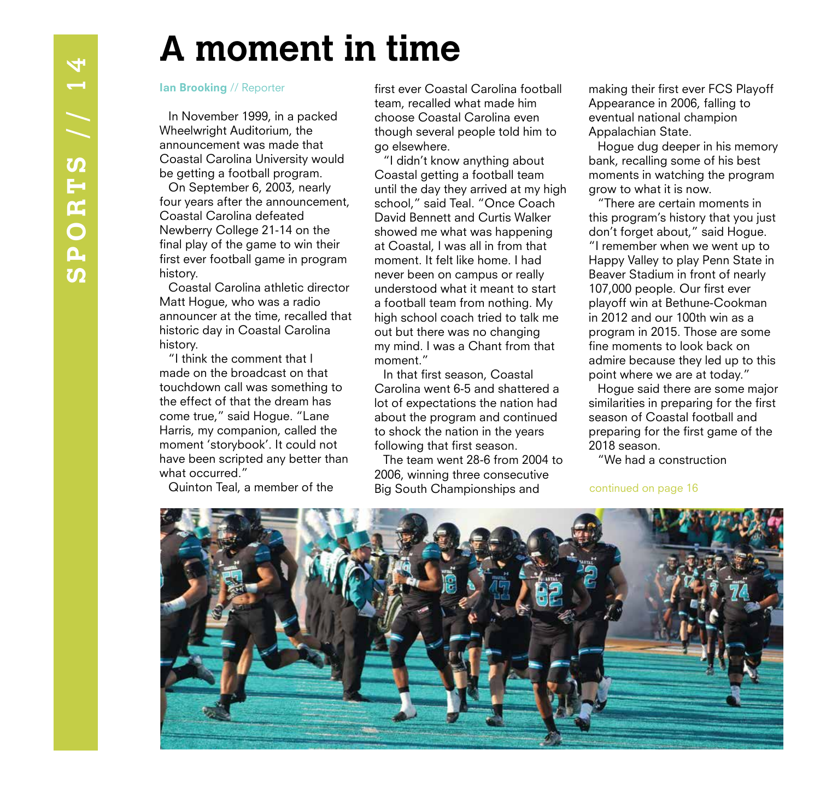## **A moment in time**

In November 1999, in a packed Wheelwright Auditorium, the announcement was made that Coastal Carolina University would be getting a football program.

On September 6, 2003, nearly four years after the announcement, Coastal Carolina defeated Newberry College 21-14 on the final play of the game to win their first ever football game in program history.

Coastal Carolina athletic director Matt Hogue, who was a radio announcer at the time, recalled that historic day in Coastal Carolina history.

"I think the comment that I made on the broadcast on that touchdown call was something to the effect of that the dream has come true," said Hogue. "Lane Harris, my companion, called the moment 'storybook'. It could not have been scripted any better than what occurred."

Quinton Teal, a member of the

Ian Brooking // Reporter first ever Coastal Carolina football team, recalled what made him choose Coastal Carolina even though several people told him to go elsewhere.

"I didn't know anything about Coastal getting a football team until the day they arrived at my high school," said Teal. "Once Coach David Bennett and Curtis Walker showed me what was happening at Coastal, I was all in from that moment. It felt like home. I had never been on campus or really understood what it meant to start a football team from nothing. My high school coach tried to talk me out but there was no changing my mind. I was a Chant from that moment."

In that first season, Coastal Carolina went 6-5 and shattered a lot of expectations the nation had about the program and continued to shock the nation in the years following that first season.

The team went 28-6 from 2004 to 2006, winning three consecutive Big South Championships and

making their first ever FCS Playoff Appearance in 2006, falling to eventual national champion Appalachian State.

Hogue dug deeper in his memory bank, recalling some of his best moments in watching the program grow to what it is now.

"There are certain moments in this program's history that you just don't forget about," said Hogue. "I remember when we went up to Happy Valley to play Penn State in Beaver Stadium in front of nearly 107,000 people. Our first ever playoff win at Bethune-Cookman in 2012 and our 100th win as a program in 2015. Those are some fine moments to look back on admire because they led up to this point where we are at today."

Hogue said there are some major similarities in preparing for the first season of Coastal football and preparing for the first game of the 2018 season.

"We had a construction

continued on page 16

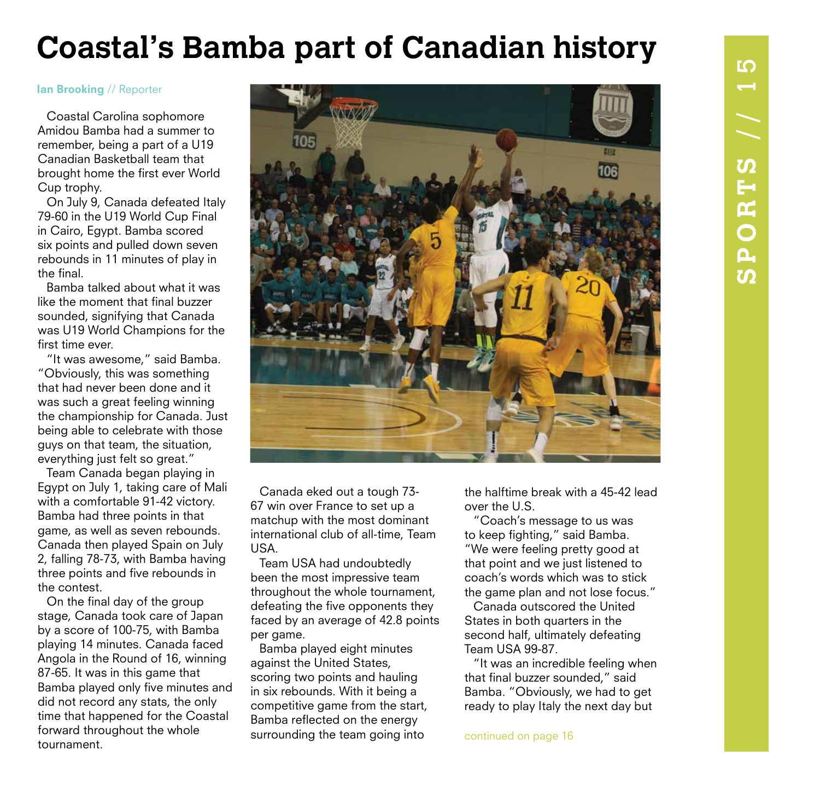## **Coastal's Bamba part of Canadian history**

**NYW** 

### Ian Brooking // Reporter

Coastal Carolina sophomore Amidou Bamba had a summer to remember, being a part of a U19 Canadian Basketball team that brought home the first ever World Cup trophy.

On July 9, Canada defeated Italy 79-60 in the U19 World Cup Final in Cairo, Egypt. Bamba scored six points and pulled down seven rebounds in 11 minutes of play in the final.

Bamba talked about what it was like the moment that final buzzer sounded, signifying that Canada was U19 World Champions for the first time ever.

"It was awesome," said Bamba. "Obviously, this was something that had never been done and it was such a great feeling winning the championship for Canada. Just being able to celebrate with those guys on that team, the situation, everything just felt so great."

Team Canada began playing in Egypt on July 1, taking care of Mali with a comfortable 91-42 victory. Bamba had three points in that game, as well as seven rebounds. Canada then played Spain on July 2, falling 78-73, with Bamba having three points and five rebounds in the contest.

On the final day of the group stage, Canada took care of Japan by a score of 100-75, with Bamba playing 14 minutes. Canada faced Angola in the Round of 16, winning 87-65. It was in this game that Bamba played only five minutes and did not record any stats, the only time that happened for the Coastal forward throughout the whole tournament.



Canada eked out a tough 73- 67 win over France to set up a matchup with the most dominant international club of all-time, Team USA.

Team USA had undoubtedly been the most impressive team throughout the whole tournament, defeating the five opponents they faced by an average of 42.8 points per game.

Bamba played eight minutes against the United States, scoring two points and hauling in six rebounds. With it being a competitive game from the start, Bamba reflected on the energy surrounding the team going into

the halftime break with a 45-42 lead over the U.S.

"Coach's message to us was to keep fighting," said Bamba. "We were feeling pretty good at that point and we just listened to coach's words which was to stick the game plan and not lose focus."

Canada outscored the United States in both quarters in the second half, ultimately defeating Team USA 99-87.

"It was an incredible feeling when that final buzzer sounded," said Bamba. "Obviously, we had to get ready to play Italy the next day but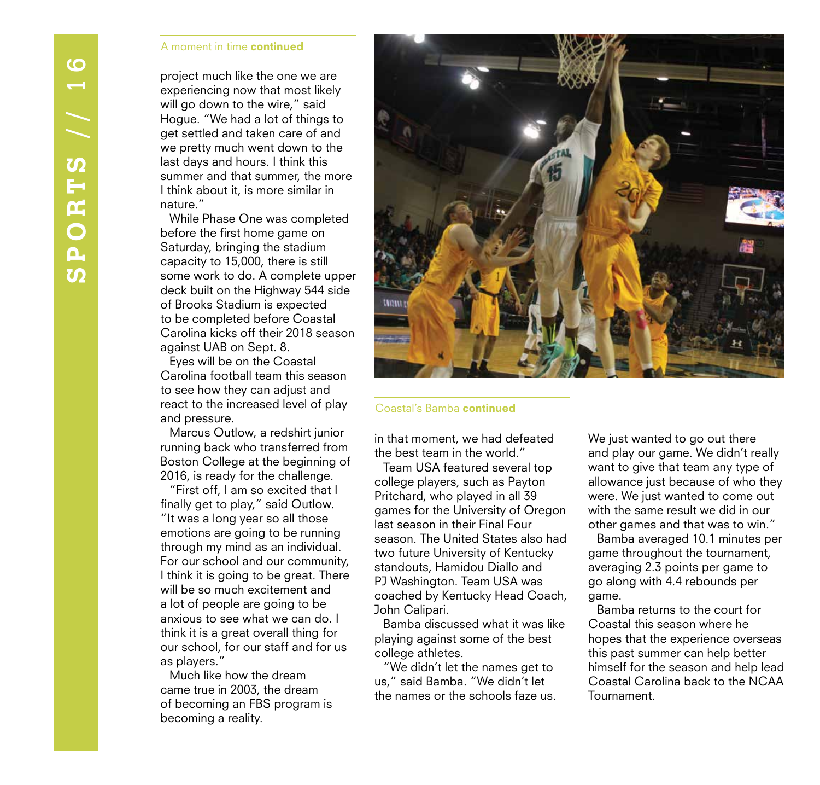### A moment in time continued

project much like the one we are experiencing now that most likely will go down to the wire," said Hogue. "We had a lot of things to get settled and taken care of and we pretty much went down to the last days and hours. I think this summer and that summer, the more I think about it, is more similar in nature."

While Phase One was completed before the first home game on Saturday, bringing the stadium capacity to 15,000, there is still some work to do. A complete upper deck built on the Highway 544 side of Brooks Stadium is expected to be completed before Coastal Carolina kicks off their 2018 season against UAB on Sept. 8.

Eyes will be on the Coastal Carolina football team this season to see how they can adjust and react to the increased level of play and pressure.

Marcus Outlow, a redshirt junior running back who transferred from Boston College at the beginning of 2016, is ready for the challenge.

"First off, I am so excited that I finally get to play," said Outlow. "It was a long year so all those emotions are going to be running through my mind as an individual. For our school and our community, I think it is going to be great. There will be so much excitement and a lot of people are going to be anxious to see what we can do. I think it is a great overall thing for our school, for our staff and for us as players."

Much like how the dream came true in 2003, the dream of becoming an FBS program is becoming a reality.



### Coastal's Bamba continued

in that moment, we had defeated the best team in the world."

Team USA featured several top college players, such as Payton Pritchard, who played in all 39 games for the University of Oregon last season in their Final Four season. The United States also had two future University of Kentucky standouts, Hamidou Diallo and PJ Washington. Team USA was coached by Kentucky Head Coach, John Calipari.

Bamba discussed what it was like playing against some of the best college athletes.

"We didn't let the names get to us," said Bamba. "We didn't let the names or the schools faze us. We just wanted to go out there and play our game. We didn't really want to give that team any type of allowance just because of who they were. We just wanted to come out with the same result we did in our other games and that was to win."

Bamba averaged 10.1 minutes per game throughout the tournament, averaging 2.3 points per game to go along with 4.4 rebounds per game.

Bamba returns to the court for Coastal this season where he hopes that the experience overseas this past summer can help better himself for the season and help lead Coastal Carolina back to the NCAA Tournament.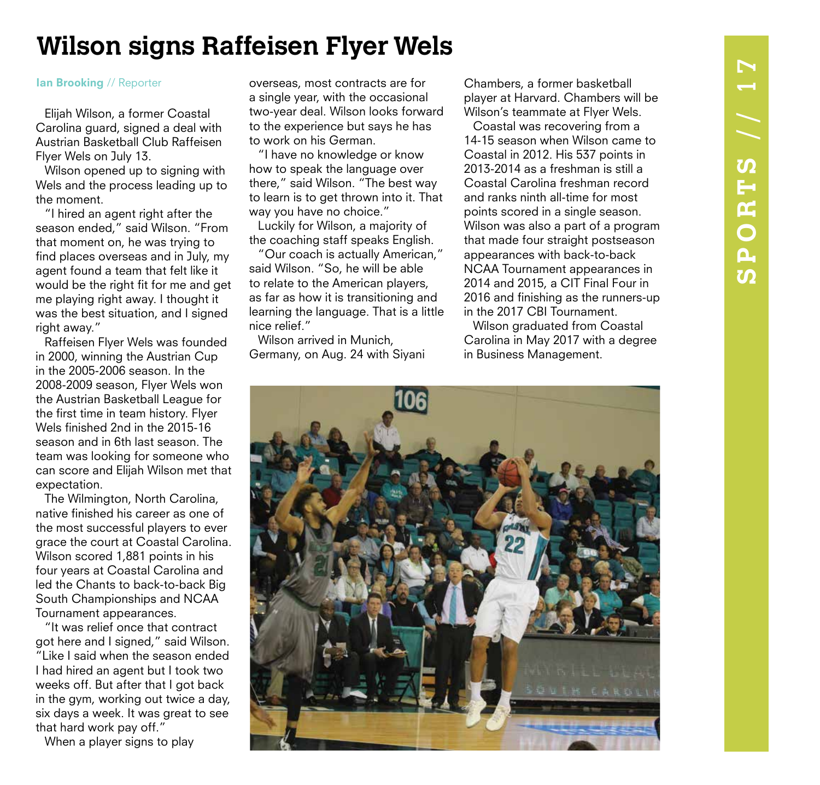# $\blacktriangleright$ **SPORTS** // 17 SPORTS // 1

## **Wilson signs Raffeisen Flyer Wels**

Elijah Wilson, a former Coastal Carolina guard, signed a deal with Austrian Basketball Club Raffeisen Flyer Wels on July 13.

Wilson opened up to signing with Wels and the process leading up to the moment.

"I hired an agent right after the season ended," said Wilson. "From that moment on, he was trying to find places overseas and in July, my agent found a team that felt like it would be the right fit for me and get me playing right away. I thought it was the best situation, and I signed right away."

Raffeisen Flyer Wels was founded in 2000, winning the Austrian Cup in the 2005-2006 season. In the 2008-2009 season, Flyer Wels won the Austrian Basketball League for the first time in team history. Flyer Wels finished 2nd in the 2015-16 season and in 6th last season. The team was looking for someone who can score and Elijah Wilson met that expectation.

The Wilmington, North Carolina, native finished his career as one of the most successful players to ever grace the court at Coastal Carolina. Wilson scored 1,881 points in his four years at Coastal Carolina and led the Chants to back-to-back Big South Championships and NCAA Tournament appearances.

"It was relief once that contract got here and I signed," said Wilson. "Like I said when the season ended I had hired an agent but I took two weeks off. But after that I got back in the gym, working out twice a day, six days a week. It was great to see that hard work pay off."

When a player signs to play

Ian Brooking // Reporter overseas, most contracts are for a single year, with the occasional two-year deal. Wilson looks forward to the experience but says he has to work on his German.

"I have no knowledge or know how to speak the language over there," said Wilson. "The best way to learn is to get thrown into it. That way you have no choice."

Luckily for Wilson, a majority of the coaching staff speaks English.

"Our coach is actually American," said Wilson. "So, he will be able to relate to the American players, as far as how it is transitioning and learning the language. That is a little nice relief."

Wilson arrived in Munich, Germany, on Aug. 24 with Siyani

Chambers, a former basketball player at Harvard. Chambers will be Wilson's teammate at Flyer Wels.

Coastal was recovering from a 14-15 season when Wilson came to Coastal in 2012. His 537 points in 2013-2014 as a freshman is still a Coastal Carolina freshman record and ranks ninth all-time for most points scored in a single season. Wilson was also a part of a program that made four straight postseason appearances with back-to-back NCAA Tournament appearances in 2014 and 2015, a CIT Final Four in 2016 and finishing as the runners-up in the 2017 CBI Tournament.

Wilson graduated from Coastal Carolina in May 2017 with a degree in Business Management.

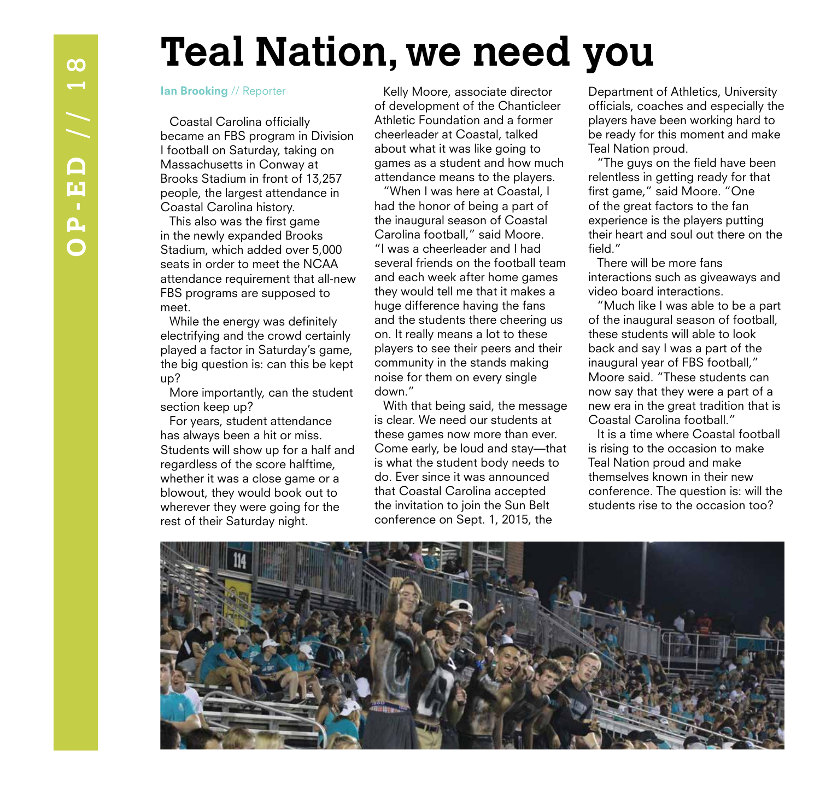## **Teal Nation, we need you**

### Ian Brooking // Reporter

Coastal Carolina officially became an FBS program in Division I football on Saturday, taking on Massachusetts in Conway at Brooks Stadium in front of 13,257 people, the largest attendance in Coastal Carolina history.

This also was the first game in the newly expanded Brooks Stadium, which added over 5,000 seats in order to meet the NCAA attendance requirement that all-new FBS programs are supposed to meet.

While the energy was definitely electrifying and the crowd certainly played a factor in Saturday's game, the big question is: can this be kept up?

More importantly, can the student section keep up?

For years, student attendance has always been a hit or miss. Students will show up for a half and regardless of the score halftime, whether it was a close game or a blowout, they would book out to wherever they were going for the rest of their Saturday night.

Kelly Moore, associate director of development of the Chanticleer Athletic Foundation and a former cheerleader at Coastal, talked about what it was like going to games as a student and how much attendance means to the players.

"When I was here at Coastal, I had the honor of being a part of the inaugural season of Coastal Carolina football," said Moore. "I was a cheerleader and I had several friends on the football team and each week after home games they would tell me that it makes a huge difference having the fans and the students there cheering us on. It really means a lot to these players to see their peers and their community in the stands making noise for them on every single down."

With that being said, the message is clear. We need our students at these games now more than ever. Come early, be loud and stay—that is what the student body needs to do. Ever since it was announced that Coastal Carolina accepted the invitation to join the Sun Belt conference on Sept. 1, 2015, the

Department of Athletics, University officials, coaches and especially the players have been working hard to be ready for this moment and make Teal Nation proud.

"The guys on the field have been relentless in getting ready for that first game," said Moore. "One of the great factors to the fan experience is the players putting their heart and soul out there on the field."

There will be more fans interactions such as giveaways and video board interactions.

"Much like I was able to be a part of the inaugural season of football, these students will able to look back and say I was a part of the inaugural year of FBS football," Moore said. "These students can now say that they were a part of a new era in the great tradition that is Coastal Carolina football."

It is a time where Coastal football is rising to the occasion to make Teal Nation proud and make themselves known in their new conference. The question is: will the students rise to the occasion too?

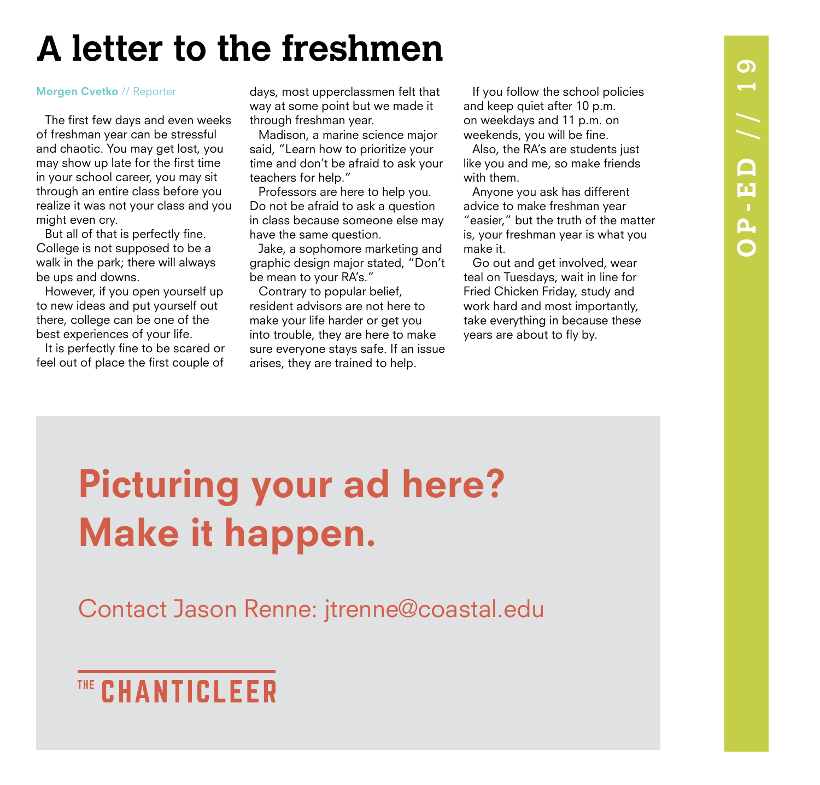# $\Omega$ **OP-ED** // 19 OP-ED // 1

## **A letter to the freshmen**

The first few days and even weeks of freshman year can be stressful and chaotic. You may get lost, you may show up late for the first time in your school career, you may sit through an entire class before you realize it was not your class and you might even cry.

But all of that is perfectly fine. College is not supposed to be a walk in the park; there will always be ups and downs.

However, if you open yourself up to new ideas and put yourself out there, college can be one of the best experiences of your life.

It is perfectly fine to be scared or feel out of place the first couple of

Morgen Cvetko // Reporter **Execute State States** days, most upperclassmen felt that If you follow the school policies way at some point but we made it through freshman year.

Madison, a marine science major said, "Learn how to prioritize your time and don't be afraid to ask your teachers for help."

Professors are here to help you. Do not be afraid to ask a question in class because someone else may have the same question.

Jake, a sophomore marketing and graphic design major stated, "Don't be mean to your RA's."

Contrary to popular belief, resident advisors are not here to make your life harder or get you into trouble, they are here to make sure everyone stays safe. If an issue arises, they are trained to help.

and keep quiet after 10 p.m. on weekdays and 11 p.m. on weekends, you will be fine.

Also, the RA's are students just like you and me, so make friends with them.

Anyone you ask has different advice to make freshman year "easier," but the truth of the matter is, your freshman year is what you make it.

Go out and get involved, wear teal on Tuesdays, wait in line for Fried Chicken Friday, study and work hard and most importantly, take everything in because these years are about to fly by.

## Picturing your ad here? Make it happen.

Contact Jason Renne: jtrenne@coastal.edu

## THE CHANTICLEER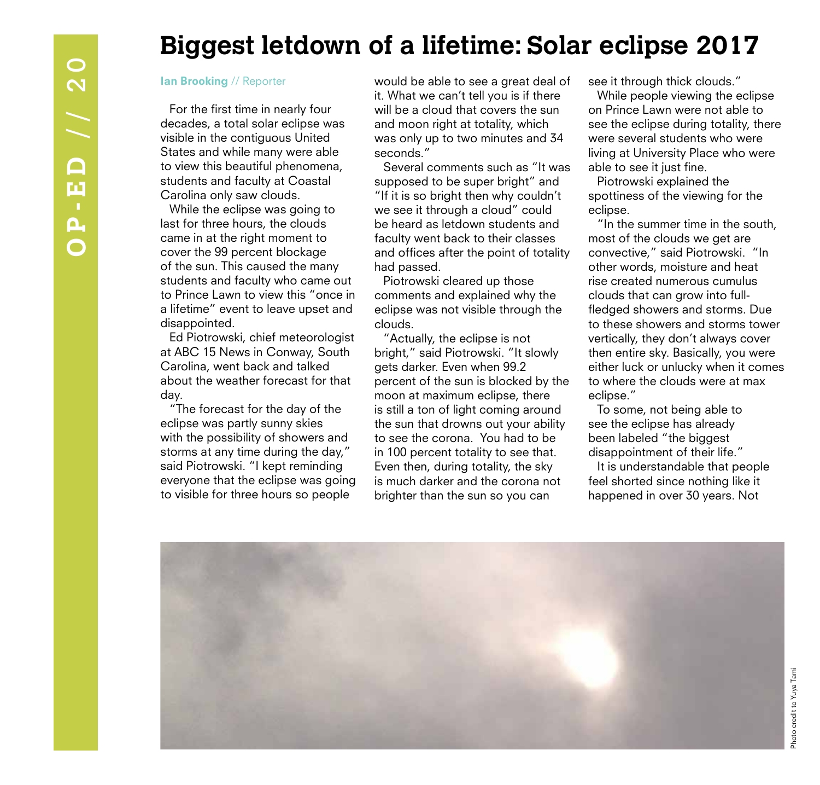## **Biggest letdown of a lifetime: Solar eclipse 2017**

### Ian Brooking // Reporter

For the first time in nearly four decades, a total solar eclipse was visible in the contiguous United States and while many were able to view this beautiful phenomena, students and faculty at Coastal Carolina only saw clouds.

While the eclipse was going to last for three hours, the clouds came in at the right moment to cover the 99 percent blockage of the sun. This caused the many students and faculty who came out to Prince Lawn to view this "once in a lifetime" event to leave upset and disappointed.

Ed Piotrowski, chief meteorologist at ABC 15 News in Conway, South Carolina, went back and talked about the weather forecast for that day.

"The forecast for the day of the eclipse was partly sunny skies with the possibility of showers and storms at any time during the day," said Piotrowski. "I kept reminding everyone that the eclipse was going to visible for three hours so people

would be able to see a great deal of it. What we can't tell you is if there will be a cloud that covers the sun and moon right at totality, which was only up to two minutes and 34 seconds."

Several comments such as "It was supposed to be super bright" and "If it is so bright then why couldn't we see it through a cloud" could be heard as letdown students and faculty went back to their classes and offices after the point of totality had passed.

Piotrowski cleared up those comments and explained why the eclipse was not visible through the clouds.

"Actually, the eclipse is not bright," said Piotrowski. "It slowly gets darker. Even when 99.2 percent of the sun is blocked by the moon at maximum eclipse, there is still a ton of light coming around the sun that drowns out your ability to see the corona. You had to be in 100 percent totality to see that. Even then, during totality, the sky is much darker and the corona not brighter than the sun so you can

see it through thick clouds."

While people viewing the eclipse on Prince Lawn were not able to see the eclipse during totality, there were several students who were living at University Place who were able to see it just fine.

Piotrowski explained the spottiness of the viewing for the eclipse.

"In the summer time in the south, most of the clouds we get are convective," said Piotrowski. "In other words, moisture and heat rise created numerous cumulus clouds that can grow into fullfledged showers and storms. Due to these showers and storms tower vertically, they don't always cover then entire sky. Basically, you were either luck or unlucky when it comes to where the clouds were at max eclipse."

To some, not being able to see the eclipse has already been labeled "the biggest disappointment of their life."

It is understandable that people feel shorted since nothing like it happened in over 30 years. Not

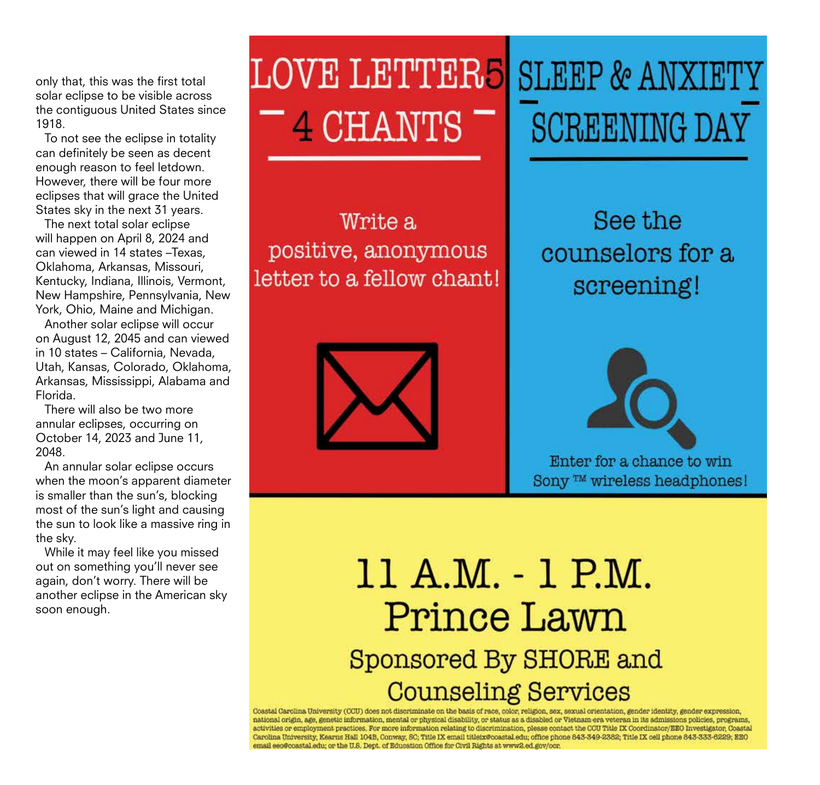only that, this was the first total solar eclipse to be visible across the contiguous United States since 1918.

To not see the eclipse in totality can definitely be seen as decent enough reason to feel letdown. However, there will be four more eclipses that will grace the United States sky in the next 31 years.

The next total solar eclipse will happen on April 8, 2024 and can viewed in 14 states –Texas, Oklahoma, Arkansas, Missouri, Kentucky, Indiana, Illinois, Vermont, New Hampshire, Pennsylvania, New York, Ohio, Maine and Michigan.

Another solar eclipse will occur on August 12, 2045 and can viewed in 10 states – California, Nevada, Utah, Kansas, Colorado, Oklahoma, Arkansas, Mississippi, Alabama and Florida.

There will also be two more annular eclipses, occurring on October 14, 2023 and June 11, 2048.

An annular solar eclipse occurs when the moon's apparent diameter is smaller than the sun's, blocking most of the sun's light and causing the sun to look like a massive ring in the sky.

While it may feel like you missed out on something you'll never see again, don't worry. There will be another eclipse in the American sky soon enough.

## **LOVE LETTER5 SLEEP & ANXIET** 4 CHANTS

Write a positive, anonymous letter to a fellow chant!



# **SCREENING DAY**

See the counselors for a screening!



Enter for a chance to win Sony ™ wireless headphones!

## 11 A.M. - 1 P.M. Prince Lawn Sponsored By SHORE and **Counseling Services**

Coastal Carolina University (CCU) does not discriminate on the basis of race, color, religion, sex, sexual orientation, gender identity, gender expression, national origin, age, genetic information, mental or physical disability, or status as a disabled or Vietnam-era veteran in its admissions policies, programs, activities or employment practices. For more information relating to discrimination, please contact the CCU Title IX Coordinator/EEO Investigator, Coastal Carolina University, Kearns Hall 104B, Conway, SC; Title IX email titleix@coastal.edu; office phone 843-349-2382; Title IX cell phone 843-333-6229; EEO email eeo@coastal.edu; or the U.S. Dept. of Education Office for Civil Rights at www2.ed.gov/ocr.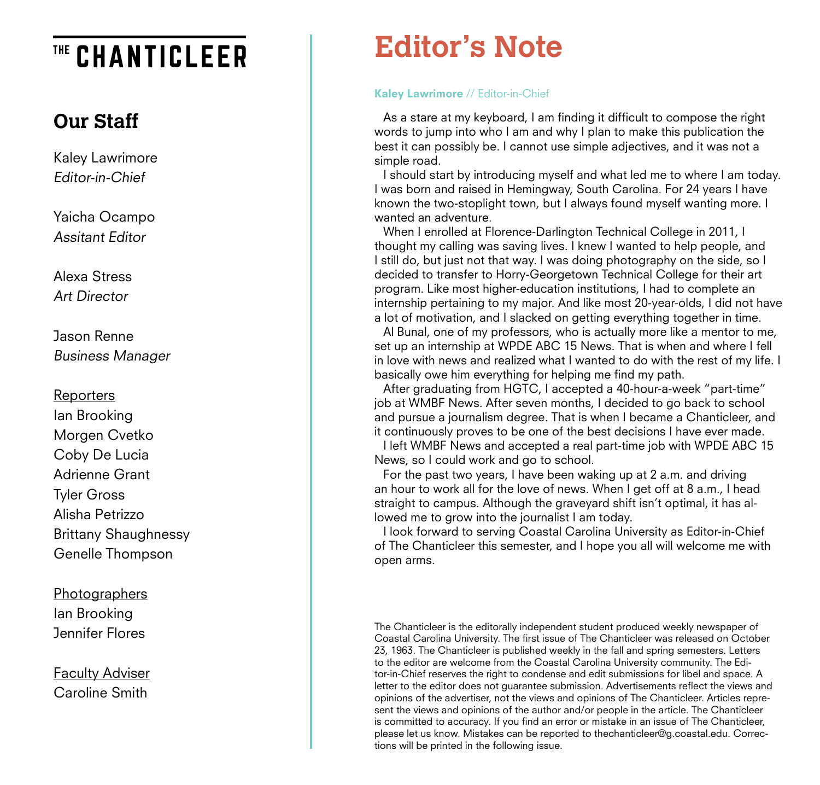## THE CHANTICLEER

## **Our Staff**

Kaley Lawrimore Editor-in-Chief

Yaicha Ocampo Assitant Editor

Alexa Stress Art Director

Jason Renne Business Manager

## **Reporters**

Ian Brooking Morgen Cvetko Coby De Lucia Adrienne Grant Tyler Gross Alisha Petrizzo Brittany Shaughnessy Genelle Thompson

## **Photographers** Ian Brooking Jennifer Flores

Faculty Adviser Caroline Smith

## **Editor's Note**

## Kaley Lawrimore // Editor-in-Chief

As a stare at my keyboard, I am finding it difficult to compose the right words to jump into who I am and why I plan to make this publication the best it can possibly be. I cannot use simple adjectives, and it was not a simple road.

I should start by introducing myself and what led me to where I am today. I was born and raised in Hemingway, South Carolina. For 24 years I have known the two-stoplight town, but I always found myself wanting more. I wanted an adventure.

When I enrolled at Florence-Darlington Technical College in 2011, I thought my calling was saving lives. I knew I wanted to help people, and I still do, but just not that way. I was doing photography on the side, so I decided to transfer to Horry-Georgetown Technical College for their art program. Like most higher-education institutions, I had to complete an internship pertaining to my major. And like most 20-year-olds, I did not have a lot of motivation, and I slacked on getting everything together in time.

Al Bunal, one of my professors, who is actually more like a mentor to me, set up an internship at WPDE ABC 15 News. That is when and where I fell in love with news and realized what I wanted to do with the rest of my life. I basically owe him everything for helping me find my path.

After graduating from HGTC, I accepted a 40-hour-a-week "part-time" job at WMBF News. After seven months, I decided to go back to school and pursue a journalism degree. That is when I became a Chanticleer, and it continuously proves to be one of the best decisions I have ever made.

I left WMBF News and accepted a real part-time job with WPDE ABC 15 News, so I could work and go to school.

For the past two years, I have been waking up at 2 a.m. and driving an hour to work all for the love of news. When I get off at 8 a.m., I head straight to campus. Although the graveyard shift isn't optimal, it has al lowed me to grow into the journalist I am today.

I look forward to serving Coastal Carolina University as Editor-in-Chief of The Chanticleer this semester, and I hope you all will welcome me with open arms.

The Chanticleer is the editorally independent student produced weekly newspaper of Coastal Carolina University. The first issue of The Chanticleer was released on October 23, 1963. The Chanticleer is published weekly in the fall and spring semesters. Letters to the editor are welcome from the Coastal Carolina University community. The Edi tor-in-Chief reserves the right to condense and edit submissions for libel and space. A letter to the editor does not guarantee submission. Advertisements reflect the views and opinions of the advertiser, not the views and opinions of The Chanticleer. Articles repre sent the views and opinions of the author and/or people in the article. The Chanticleer is committed to accuracy. If you find an error or mistake in an issue of The Chanticleer, please let us know. Mistakes can be reported to thechanticleer@g.coastal.edu. Correc tions will be printed in the following issue.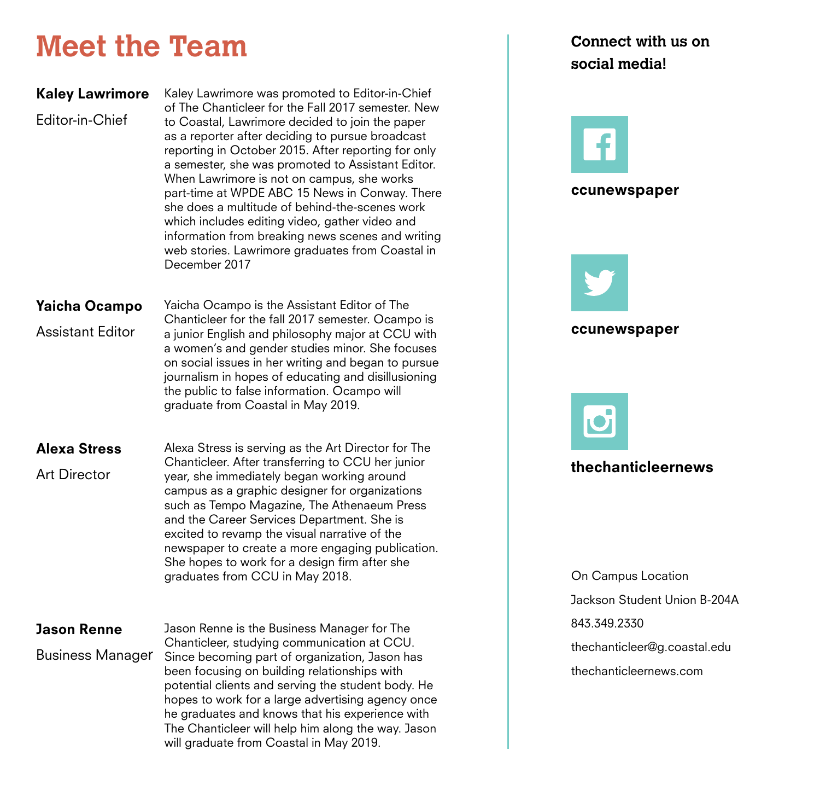## **Meet the Team**

| <b>Kaley Lawrimore</b><br>Editor-in-Chief       | Kaley Lawrimore was promoted to Editor-in-Chief<br>of The Chanticleer for the Fall 2017 semester. New<br>to Coastal, Lawrimore decided to join the paper<br>as a reporter after deciding to pursue broadcast<br>reporting in October 2015. After reporting for only<br>a semester, she was promoted to Assistant Editor.<br>When Lawrimore is not on campus, she works<br>part-time at WPDE ABC 15 News in Conway. There<br>she does a multitude of behind-the-scenes work<br>which includes editing video, gather video and<br>information from breaking news scenes and writing<br>web stories. Lawrimore graduates from Coastal in<br>December 2017 |
|-------------------------------------------------|--------------------------------------------------------------------------------------------------------------------------------------------------------------------------------------------------------------------------------------------------------------------------------------------------------------------------------------------------------------------------------------------------------------------------------------------------------------------------------------------------------------------------------------------------------------------------------------------------------------------------------------------------------|
| <b>Yaicha Ocampo</b><br><b>Assistant Editor</b> | Yaicha Ocampo is the Assistant Editor of The<br>Chanticleer for the fall 2017 semester. Ocampo is<br>a junior English and philosophy major at CCU with<br>a women's and gender studies minor. She focuses<br>on social issues in her writing and began to pursue<br>journalism in hopes of educating and disillusioning<br>the public to false information. Ocampo will<br>graduate from Coastal in May 2019.                                                                                                                                                                                                                                          |
| <b>Alexa Stress</b><br><b>Art Director</b>      | Alexa Stress is serving as the Art Director for The<br>Chanticleer. After transferring to CCU her junior<br>year, she immediately began working around<br>campus as a graphic designer for organizations<br>such as Tempo Magazine, The Athenaeum Press<br>and the Career Services Department. She is<br>excited to revamp the visual narrative of the<br>newspaper to create a more engaging publication.<br>She hopes to work for a design firm after she<br>graduates from CCU in May 2018.                                                                                                                                                         |
| <b>Jason Renne</b><br><b>Business Manager</b>   | Jason Renne is the Business Manager for The<br>Chanticleer, studying communication at CCU.<br>Since becoming part of organization, Jason has<br>been focusing on building relationships with<br>potential clients and serving the student body. He                                                                                                                                                                                                                                                                                                                                                                                                     |

hopes to work for a large advertising agency once he graduates and knows that his experience with The Chanticleer will help him along the way. Jason

will graduate from Coastal in May 2019.

## **Connect with us on social media!**